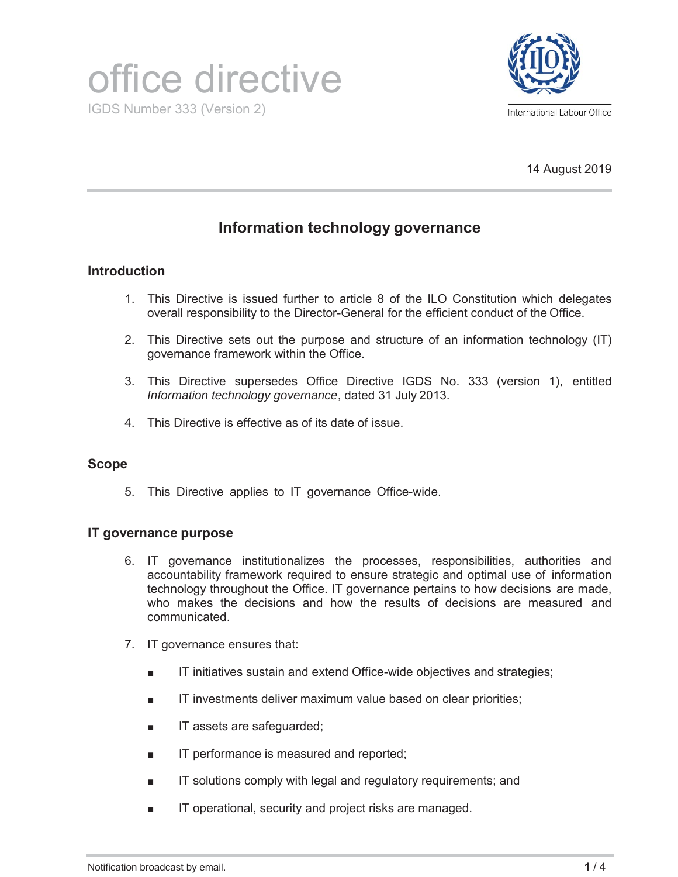



14 August 2019

# **Information technology governance**

### **Introduction**

- 1. This Directive is issued further to article 8 of the ILO Constitution which delegates overall responsibility to the Director-General for the efficient conduct of the Office.
- 2. This Directive sets out the purpose and structure of an information technology (IT) governance framework within the Office.
- 3. This Directive supersedes Office Directive IGDS No. 333 (version 1), entitled *Information technology governance*, dated 31 July 2013.
- 4. This Directive is effective as of its date of issue.

#### **Scope**

5. This Directive applies to IT governance Office-wide.

#### **IT governance purpose**

- 6. IT governance institutionalizes the processes, responsibilities, authorities and accountability framework required to ensure strategic and optimal use of information technology throughout the Office. IT governance pertains to how decisions are made, who makes the decisions and how the results of decisions are measured and communicated.
- 7. IT governance ensures that:
	- IT initiatives sustain and extend Office-wide objectives and strategies;
	- IT investments deliver maximum value based on clear priorities;
	- IT assets are safeguarded;
	- IT performance is measured and reported;
	- IT solutions comply with legal and regulatory requirements; and
	- IT operational, security and project risks are managed.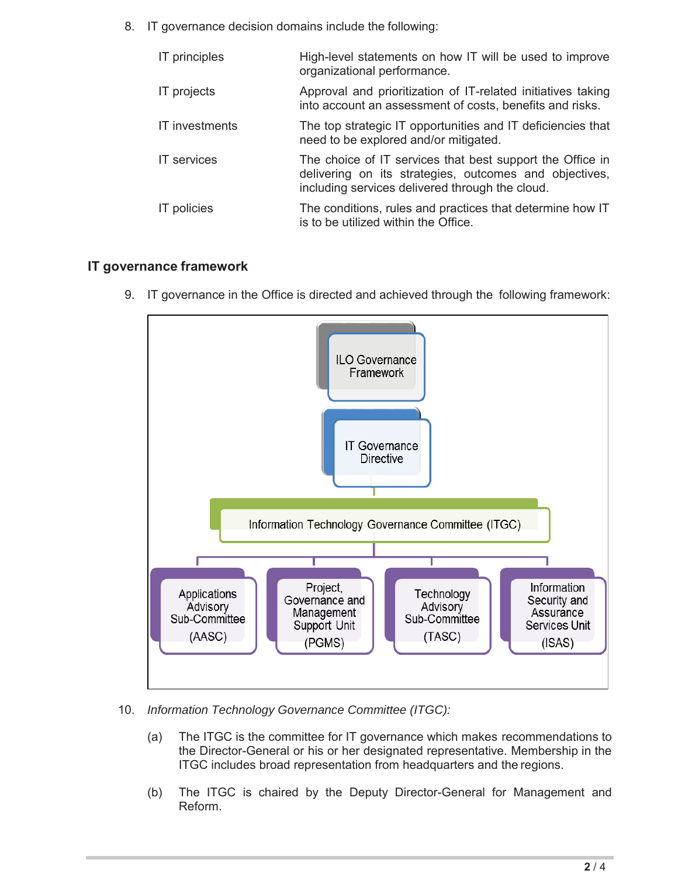8. IT governance decision domains include the following:

| <b>IT</b> principles | High-level statements on how IT will be used to improve<br>organizational performance.                                                                                 |
|----------------------|------------------------------------------------------------------------------------------------------------------------------------------------------------------------|
| IT projects          | Approval and prioritization of IT-related initiatives taking<br>into account an assessment of costs, benefits and risks.                                               |
| IT investments       | The top strategic IT opportunities and IT deficiencies that<br>need to be explored and/or mitigated.                                                                   |
| <b>IT</b> services   | The choice of IT services that best support the Office in<br>delivering on its strategies, outcomes and objectives,<br>including services delivered through the cloud. |
| <b>IT</b> policies   | The conditions, rules and practices that determine how IT<br>is to be utilized within the Office.                                                                      |

## **IT governance framework**

9. IT governance in the Office is directed and achieved through the following framework:



- 10. *Information Technology Governance Committee (ITGC):*
	- (a) The ITGC is the committee for IT governance which makes recommendations to the Director-General or his or her designated representative. Membership in the ITGC includes broad representation from headquarters and the regions.
	- (b) The ITGC is chaired by the Deputy Director-General for Management and Reform.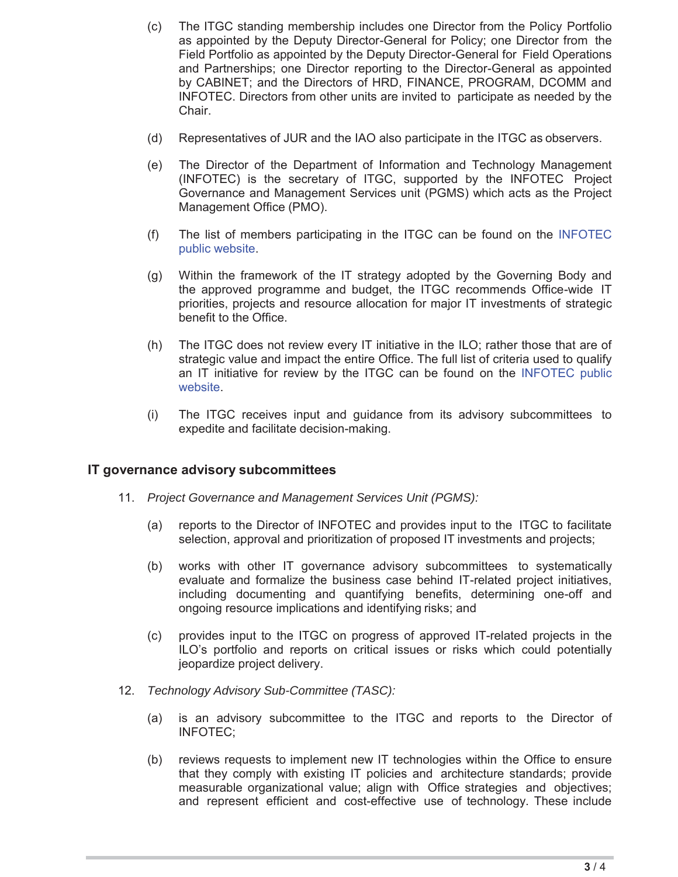- (c) The ITGC standing membership includes one Director from the Policy Portfolio as appointed by the Deputy Director-General for Policy; one Director from the Field Portfolio as appointed by the Deputy Director-General for Field Operations and Partnerships; one Director reporting to the Director-General as appointed by CABINET; and the Directors of HRD, FINANCE, PROGRAM, DCOMM and INFOTEC. Directors from other units are invited to participate as needed by the Chair.
- (d) Representatives of JUR and the IAO also participate in the ITGC as observers.
- (e) The Director of the Department of Information and Technology Management (INFOTEC) is the secretary of ITGC, supported by the INFOTEC Project Governance and Management Services unit (PGMS) which acts as the Project Management Office (PMO).
- (f) The list of members participating in the ITGC can be found on the INFOTEC public website.
- (g) Within the framework of the IT strategy adopted by the Governing Body and the approved programme and budget, the ITGC recommends Office-wide IT priorities, projects and resource allocation for major IT investments of strategic benefit to the Office.
- (h) The ITGC does not review every IT initiative in the ILO; rather those that are of strategic value and impact the entire Office. The full list of criteria used to qualify an IT initiative for review by the ITGC can be found on the INFOTEC public website.
- (i) The ITGC receives input and guidance from its advisory subcommittees to expedite and facilitate decision-making.

#### **IT governance advisory subcommittees**

- 11. *Project Governance and Management Services Unit (PGMS):* 
	- (a) reports to the Director of INFOTEC and provides input to the ITGC to facilitate selection, approval and prioritization of proposed IT investments and projects;
	- (b) works with other IT governance advisory subcommittees to systematically evaluate and formalize the business case behind IT-related project initiatives, including documenting and quantifying benefits, determining one-off and ongoing resource implications and identifying risks; and
	- (c) provides input to the ITGC on progress of approved IT-related projects in the ILO's portfolio and reports on critical issues or risks which could potentially jeopardize project delivery.
- 12. *Technology Advisory Sub-Committee (TASC):* 
	- (a) is an advisory subcommittee to the ITGC and reports to the Director of INFOTEC;
	- (b) reviews requests to implement new IT technologies within the Office to ensure that they comply with existing IT policies and architecture standards; provide measurable organizational value; align with Office strategies and objectives; and represent efficient and cost-effective use of technology. These include